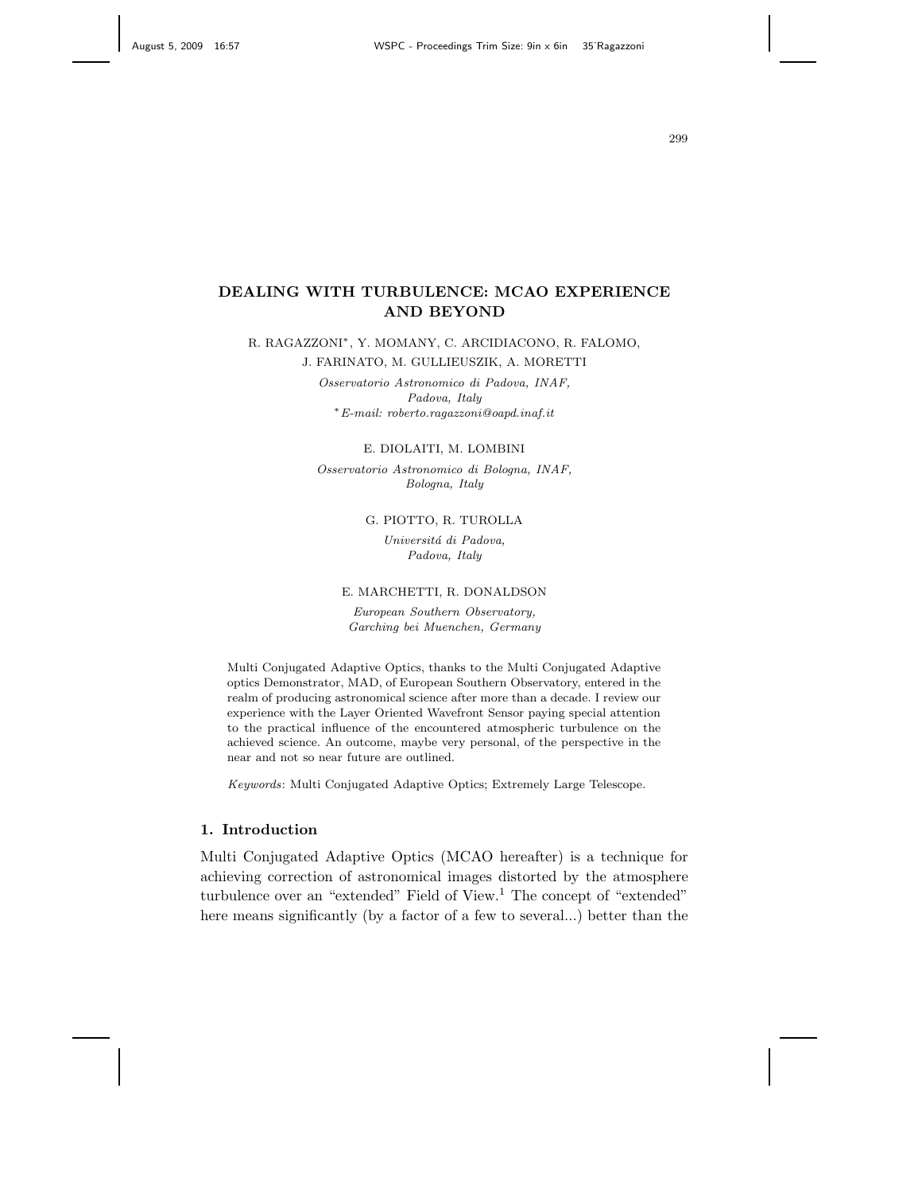# **DEALING WITH TURBULENCE: MCAO EXPERIENCE AND BEYOND**

R. RAGAZZONI∗, Y. MOMANY, C. ARCIDIACONO, R. FALOMO,

J. FARINATO, M. GULLIEUSZIK, A. MORETTI

*Osservatorio Astronomico di Padova, INAF, Padova, Italy* ∗*E-mail: roberto.ragazzoni@oapd.inaf.it*

E. DIOLAITI, M. LOMBINI

*Osservatorio Astronomico di Bologna, INAF, Bologna, Italy*

#### G. PIOTTO, R. TUROLLA

*Universit´a di Padova, Padova, Italy*

#### E. MARCHETTI, R. DONALDSON

*European Southern Observatory, Garching bei Muenchen, Germany*

Multi Conjugated Adaptive Optics, thanks to the Multi Conjugated Adaptive optics Demonstrator, MAD, of European Southern Observatory, entered in the realm of producing astronomical science after more than a decade. I review our experience with the Layer Oriented Wavefront Sensor paying special attention to the practical influence of the encountered atmospheric turbulence on the achieved science. An outcome, maybe very personal, of the perspective in the near and not so near future are outlined.

*Keywords*: Multi Conjugated Adaptive Optics; Extremely Large Telescope.

## **1. Introduction**

Multi Conjugated Adaptive Optics (MCAO hereafter) is a technique for achieving correction of astronomical images distorted by the atmosphere turbulence over an "extended" Field of View.<sup>1</sup> The concept of "extended" here means significantly (by a factor of a few to several...) better than the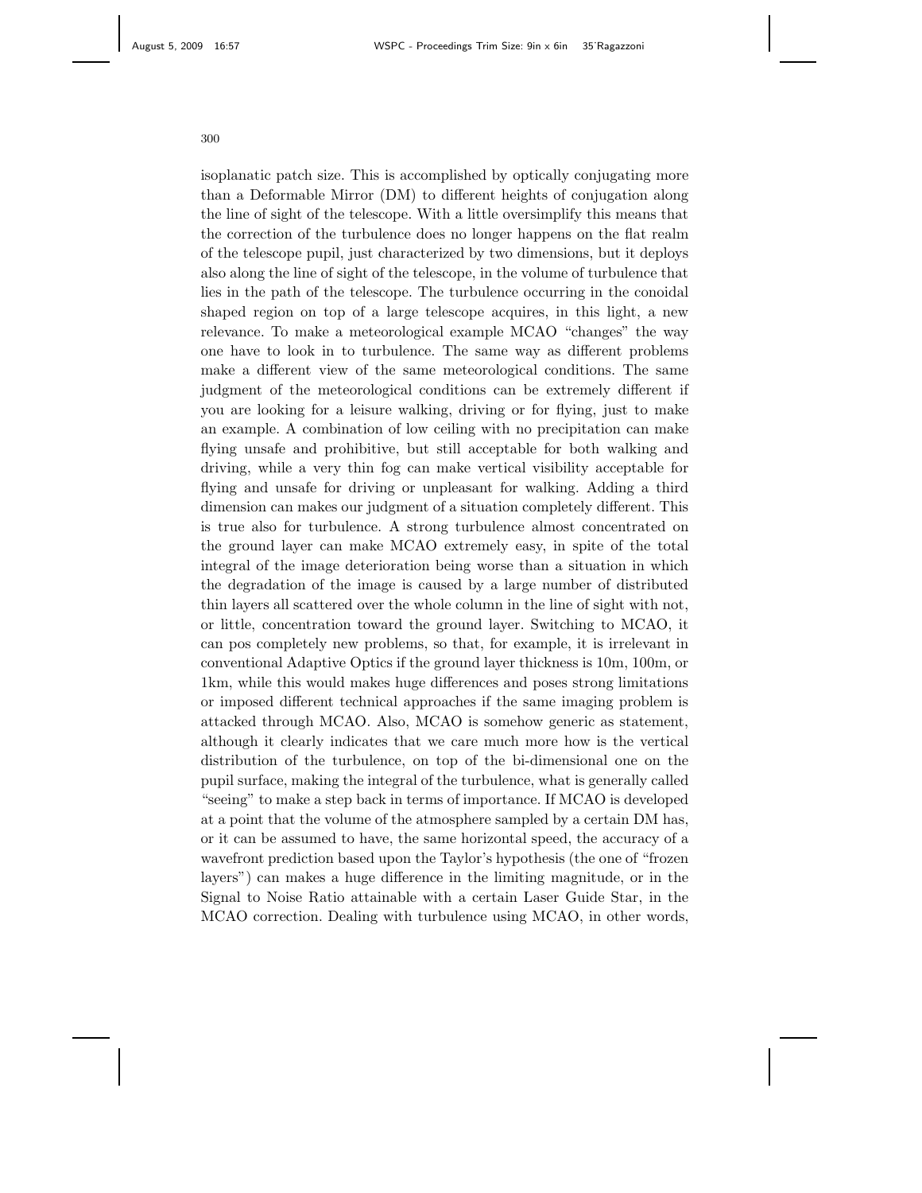isoplanatic patch size. This is accomplished by optically conjugating more than a Deformable Mirror (DM) to different heights of conjugation along the line of sight of the telescope. With a little oversimplify this means that the correction of the turbulence does no longer happens on the flat realm of the telescope pupil, just characterized by two dimensions, but it deploys also along the line of sight of the telescope, in the volume of turbulence that lies in the path of the telescope. The turbulence occurring in the conoidal shaped region on top of a large telescope acquires, in this light, a new relevance. To make a meteorological example MCAO "changes" the way one have to look in to turbulence. The same way as different problems make a different view of the same meteorological conditions. The same judgment of the meteorological conditions can be extremely different if you are looking for a leisure walking, driving or for flying, just to make an example. A combination of low ceiling with no precipitation can make flying unsafe and prohibitive, but still acceptable for both walking and driving, while a very thin fog can make vertical visibility acceptable for flying and unsafe for driving or unpleasant for walking. Adding a third dimension can makes our judgment of a situation completely different. This is true also for turbulence. A strong turbulence almost concentrated on the ground layer can make MCAO extremely easy, in spite of the total integral of the image deterioration being worse than a situation in which the degradation of the image is caused by a large number of distributed thin layers all scattered over the whole column in the line of sight with not, or little, concentration toward the ground layer. Switching to MCAO, it can pos completely new problems, so that, for example, it is irrelevant in conventional Adaptive Optics if the ground layer thickness is 10m, 100m, or 1km, while this would makes huge differences and poses strong limitations or imposed different technical approaches if the same imaging problem is attacked through MCAO. Also, MCAO is somehow generic as statement, although it clearly indicates that we care much more how is the vertical distribution of the turbulence, on top of the bi-dimensional one on the pupil surface, making the integral of the turbulence, what is generally called "seeing" to make a step back in terms of importance. If MCAO is developed at a point that the volume of the atmosphere sampled by a certain DM has, or it can be assumed to have, the same horizontal speed, the accuracy of a wavefront prediction based upon the Taylor's hypothesis (the one of "frozen layers") can makes a huge difference in the limiting magnitude, or in the Signal to Noise Ratio attainable with a certain Laser Guide Star, in the MCAO correction. Dealing with turbulence using MCAO, in other words,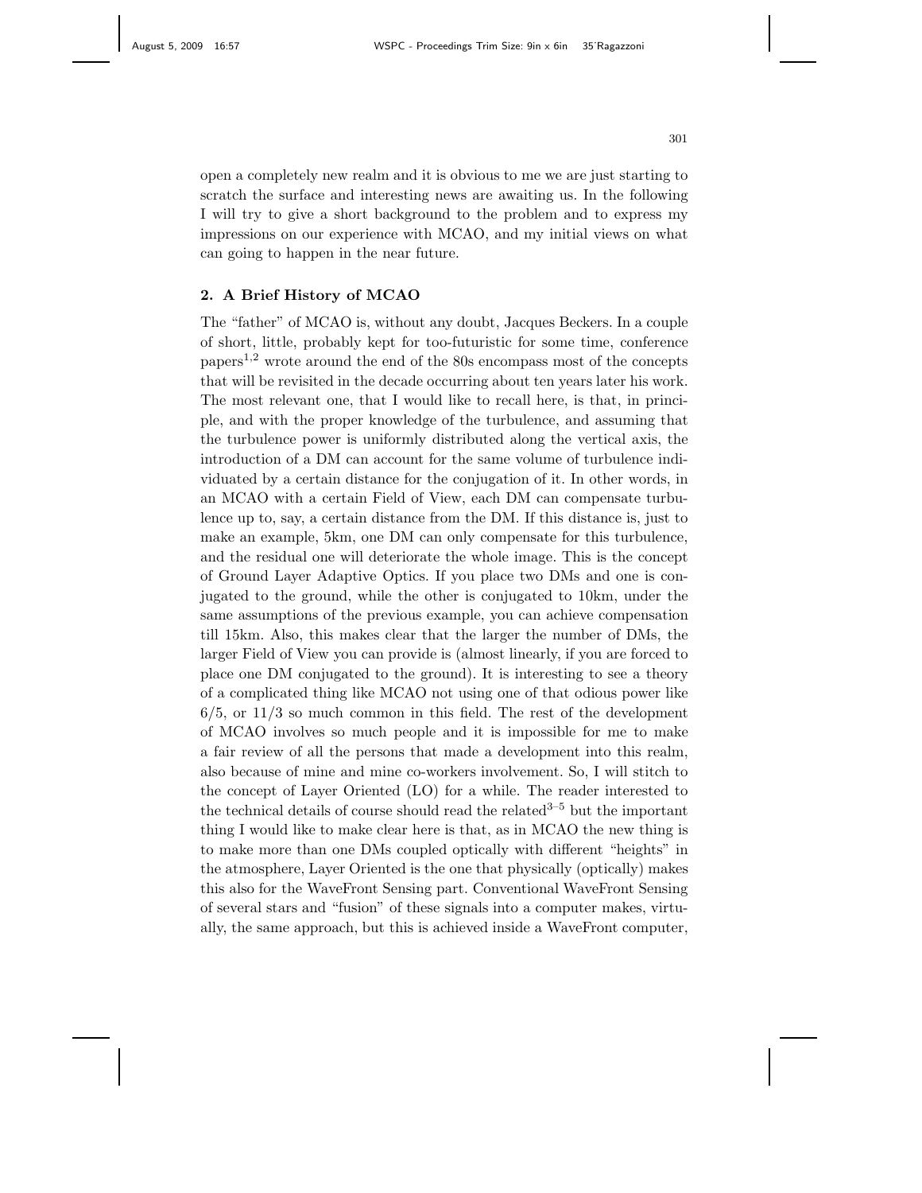open a completely new realm and it is obvious to me we are just starting to scratch the surface and interesting news are awaiting us. In the following I will try to give a short background to the problem and to express my impressions on our experience with MCAO, and my initial views on what can going to happen in the near future.

## **2. A Brief History of MCAO**

The "father" of MCAO is, without any doubt, Jacques Beckers. In a couple of short, little, probably kept for too-futuristic for some time, conference papers1,2 wrote around the end of the 80s encompass most of the concepts that will be revisited in the decade occurring about ten years later his work. The most relevant one, that I would like to recall here, is that, in principle, and with the proper knowledge of the turbulence, and assuming that the turbulence power is uniformly distributed along the vertical axis, the introduction of a DM can account for the same volume of turbulence individuated by a certain distance for the conjugation of it. In other words, in an MCAO with a certain Field of View, each DM can compensate turbulence up to, say, a certain distance from the DM. If this distance is, just to make an example, 5km, one DM can only compensate for this turbulence, and the residual one will deteriorate the whole image. This is the concept of Ground Layer Adaptive Optics. If you place two DMs and one is conjugated to the ground, while the other is conjugated to 10km, under the same assumptions of the previous example, you can achieve compensation till 15km. Also, this makes clear that the larger the number of DMs, the larger Field of View you can provide is (almost linearly, if you are forced to place one DM conjugated to the ground). It is interesting to see a theory of a complicated thing like MCAO not using one of that odious power like  $6/5$ , or  $11/3$  so much common in this field. The rest of the development of MCAO involves so much people and it is impossible for me to make a fair review of all the persons that made a development into this realm, also because of mine and mine co-workers involvement. So, I will stitch to the concept of Layer Oriented (LO) for a while. The reader interested to the technical details of course should read the related  $3-5$  but the important thing I would like to make clear here is that, as in MCAO the new thing is to make more than one DMs coupled optically with different "heights" in the atmosphere, Layer Oriented is the one that physically (optically) makes this also for the WaveFront Sensing part. Conventional WaveFront Sensing of several stars and "fusion" of these signals into a computer makes, virtually, the same approach, but this is achieved inside a WaveFront computer,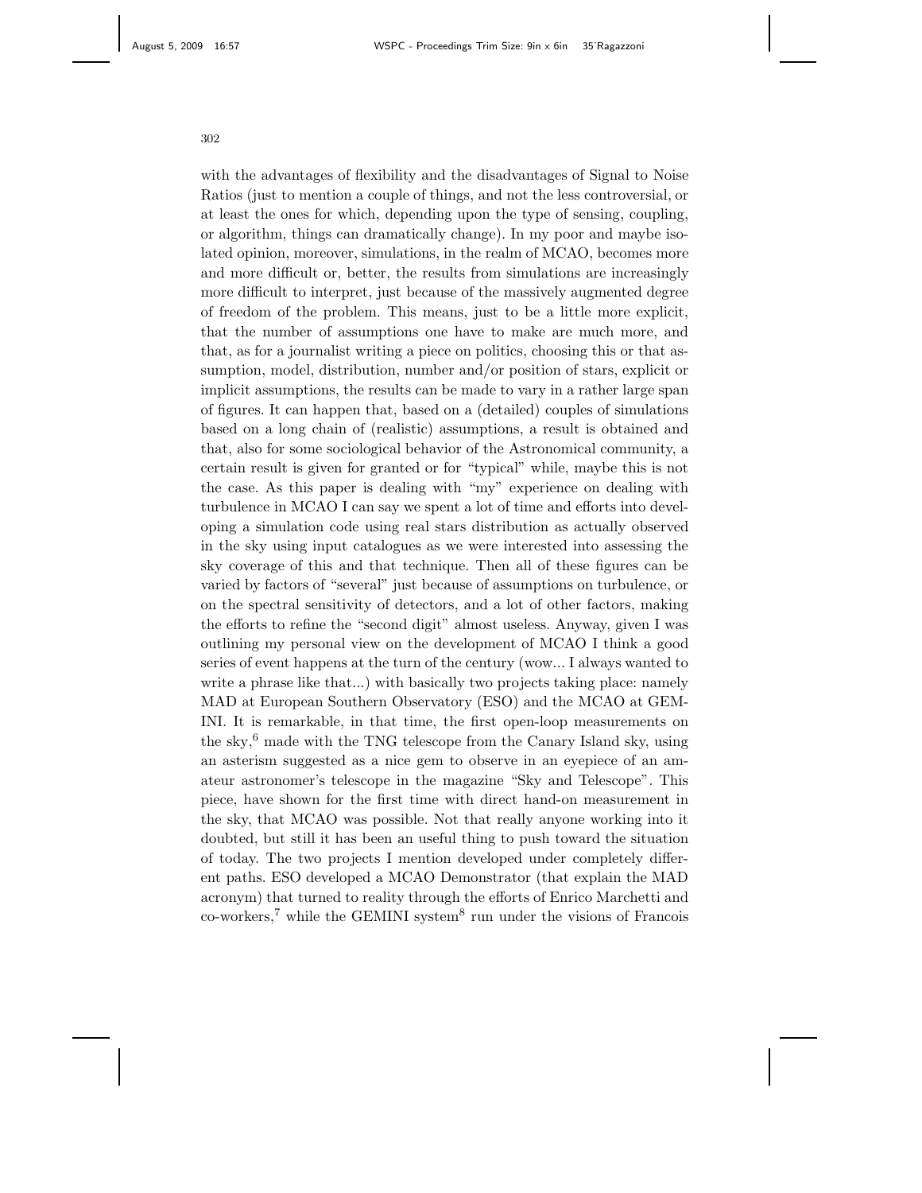with the advantages of flexibility and the disadvantages of Signal to Noise Ratios (just to mention a couple of things, and not the less controversial, or at least the ones for which, depending upon the type of sensing, coupling, or algorithm, things can dramatically change). In my poor and maybe isolated opinion, moreover, simulations, in the realm of MCAO, becomes more and more difficult or, better, the results from simulations are increasingly more difficult to interpret, just because of the massively augmented degree of freedom of the problem. This means, just to be a little more explicit, that the number of assumptions one have to make are much more, and that, as for a journalist writing a piece on politics, choosing this or that assumption, model, distribution, number and/or position of stars, explicit or implicit assumptions, the results can be made to vary in a rather large span of figures. It can happen that, based on a (detailed) couples of simulations based on a long chain of (realistic) assumptions, a result is obtained and that, also for some sociological behavior of the Astronomical community, a certain result is given for granted or for "typical" while, maybe this is not the case. As this paper is dealing with "my" experience on dealing with turbulence in MCAO I can say we spent a lot of time and efforts into developing a simulation code using real stars distribution as actually observed in the sky using input catalogues as we were interested into assessing the sky coverage of this and that technique. Then all of these figures can be varied by factors of "several" just because of assumptions on turbulence, or on the spectral sensitivity of detectors, and a lot of other factors, making the efforts to refine the "second digit" almost useless. Anyway, given I was outlining my personal view on the development of MCAO I think a good series of event happens at the turn of the century (wow... I always wanted to write a phrase like that...) with basically two projects taking place: namely MAD at European Southern Observatory (ESO) and the MCAO at GEM-INI. It is remarkable, in that time, the first open-loop measurements on the sky,<sup>6</sup> made with the TNG telescope from the Canary Island sky, using an asterism suggested as a nice gem to observe in an eyepiece of an amateur astronomer's telescope in the magazine "Sky and Telescope". This piece, have shown for the first time with direct hand-on measurement in the sky, that MCAO was possible. Not that really anyone working into it doubted, but still it has been an useful thing to push toward the situation of today. The two projects I mention developed under completely different paths. ESO developed a MCAO Demonstrator (that explain the MAD acronym) that turned to reality through the efforts of Enrico Marchetti and  $co$ -workers,<sup>7</sup> while the GEMINI system<sup>8</sup> run under the visions of Francois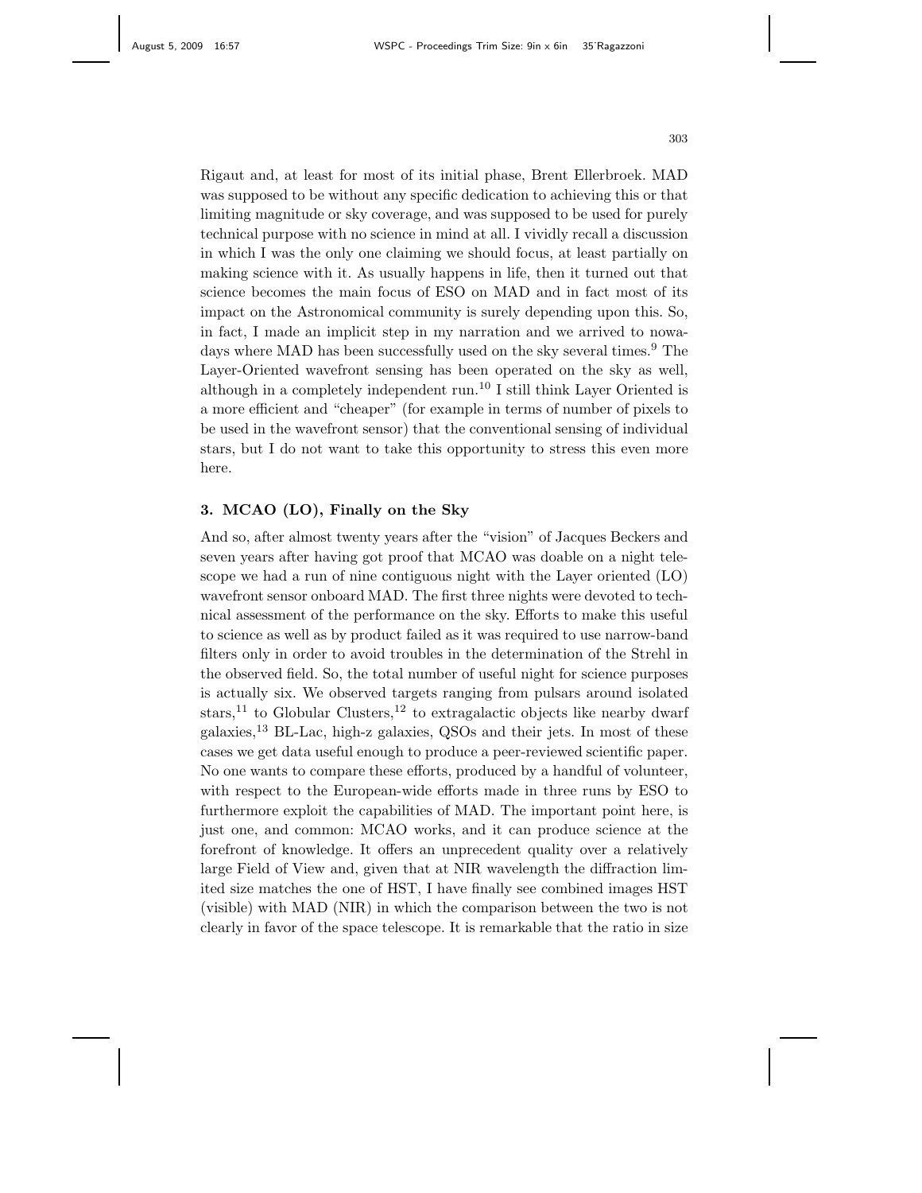Rigaut and, at least for most of its initial phase, Brent Ellerbroek. MAD was supposed to be without any specific dedication to achieving this or that limiting magnitude or sky coverage, and was supposed to be used for purely technical purpose with no science in mind at all. I vividly recall a discussion in which I was the only one claiming we should focus, at least partially on making science with it. As usually happens in life, then it turned out that science becomes the main focus of ESO on MAD and in fact most of its impact on the Astronomical community is surely depending upon this. So, in fact, I made an implicit step in my narration and we arrived to nowadays where MAD has been successfully used on the sky several times.<sup>9</sup> The Layer-Oriented wavefront sensing has been operated on the sky as well, although in a completely independent run.<sup>10</sup> I still think Layer Oriented is a more efficient and "cheaper" (for example in terms of number of pixels to be used in the wavefront sensor) that the conventional sensing of individual stars, but I do not want to take this opportunity to stress this even more here.

## **3. MCAO (LO), Finally on the Sky**

And so, after almost twenty years after the "vision" of Jacques Beckers and seven years after having got proof that MCAO was doable on a night telescope we had a run of nine contiguous night with the Layer oriented (LO) wavefront sensor onboard MAD. The first three nights were devoted to technical assessment of the performance on the sky. Efforts to make this useful to science as well as by product failed as it was required to use narrow-band filters only in order to avoid troubles in the determination of the Strehl in the observed field. So, the total number of useful night for science purposes is actually six. We observed targets ranging from pulsars around isolated stars,<sup>11</sup> to Globular Clusters,<sup>12</sup> to extragalactic objects like nearby dwarf galaxies,<sup>13</sup> BL-Lac, high-z galaxies, QSOs and their jets. In most of these cases we get data useful enough to produce a peer-reviewed scientific paper. No one wants to compare these efforts, produced by a handful of volunteer, with respect to the European-wide efforts made in three runs by ESO to furthermore exploit the capabilities of MAD. The important point here, is just one, and common: MCAO works, and it can produce science at the forefront of knowledge. It offers an unprecedent quality over a relatively large Field of View and, given that at NIR wavelength the diffraction limited size matches the one of HST, I have finally see combined images HST (visible) with MAD (NIR) in which the comparison between the two is not clearly in favor of the space telescope. It is remarkable that the ratio in size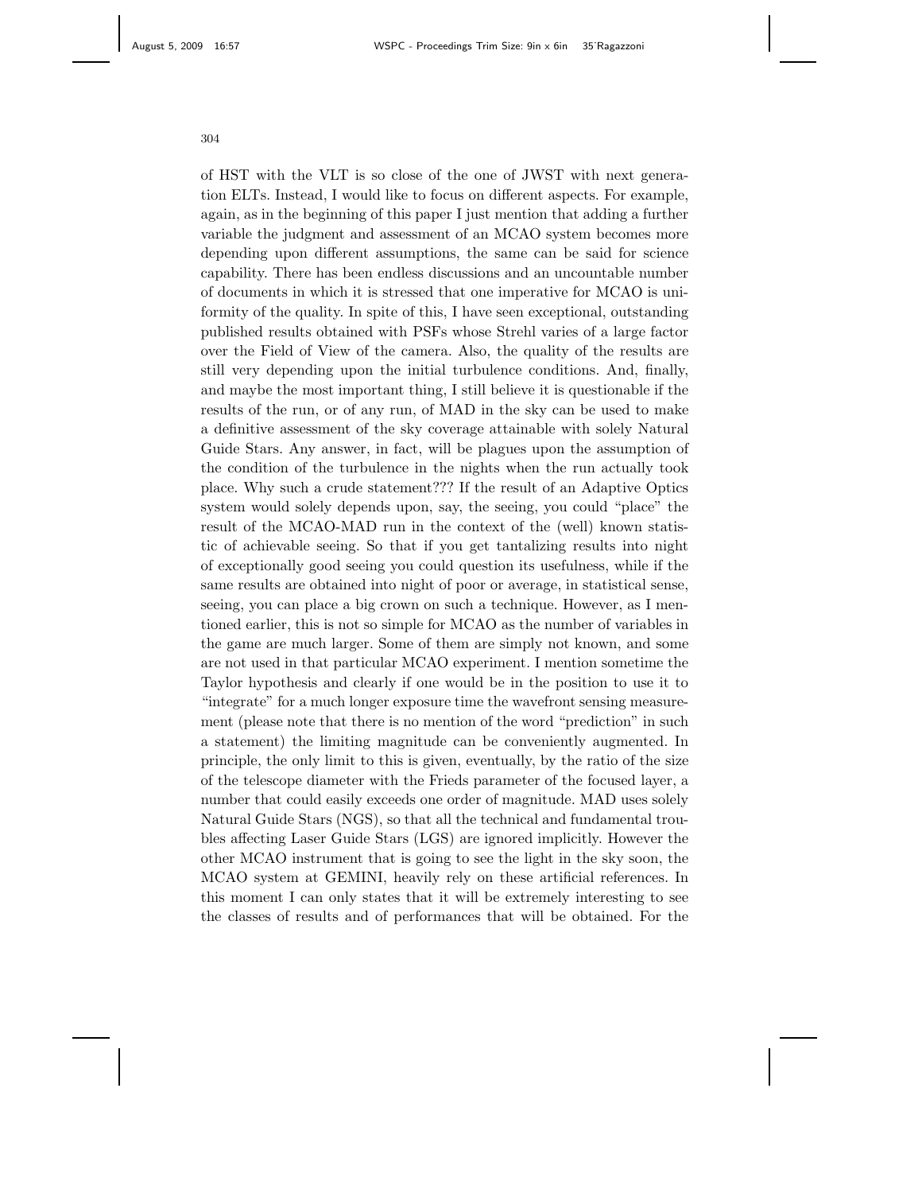of HST with the VLT is so close of the one of JWST with next generation ELTs. Instead, I would like to focus on different aspects. For example, again, as in the beginning of this paper I just mention that adding a further variable the judgment and assessment of an MCAO system becomes more depending upon different assumptions, the same can be said for science capability. There has been endless discussions and an uncountable number of documents in which it is stressed that one imperative for MCAO is uniformity of the quality. In spite of this, I have seen exceptional, outstanding published results obtained with PSFs whose Strehl varies of a large factor over the Field of View of the camera. Also, the quality of the results are still very depending upon the initial turbulence conditions. And, finally, and maybe the most important thing, I still believe it is questionable if the results of the run, or of any run, of MAD in the sky can be used to make a definitive assessment of the sky coverage attainable with solely Natural Guide Stars. Any answer, in fact, will be plagues upon the assumption of the condition of the turbulence in the nights when the run actually took place. Why such a crude statement??? If the result of an Adaptive Optics system would solely depends upon, say, the seeing, you could "place" the result of the MCAO-MAD run in the context of the (well) known statistic of achievable seeing. So that if you get tantalizing results into night of exceptionally good seeing you could question its usefulness, while if the same results are obtained into night of poor or average, in statistical sense, seeing, you can place a big crown on such a technique. However, as I mentioned earlier, this is not so simple for MCAO as the number of variables in the game are much larger. Some of them are simply not known, and some are not used in that particular MCAO experiment. I mention sometime the Taylor hypothesis and clearly if one would be in the position to use it to "integrate" for a much longer exposure time the wavefront sensing measurement (please note that there is no mention of the word "prediction" in such a statement) the limiting magnitude can be conveniently augmented. In principle, the only limit to this is given, eventually, by the ratio of the size of the telescope diameter with the Frieds parameter of the focused layer, a number that could easily exceeds one order of magnitude. MAD uses solely Natural Guide Stars (NGS), so that all the technical and fundamental troubles affecting Laser Guide Stars (LGS) are ignored implicitly. However the other MCAO instrument that is going to see the light in the sky soon, the MCAO system at GEMINI, heavily rely on these artificial references. In this moment I can only states that it will be extremely interesting to see the classes of results and of performances that will be obtained. For the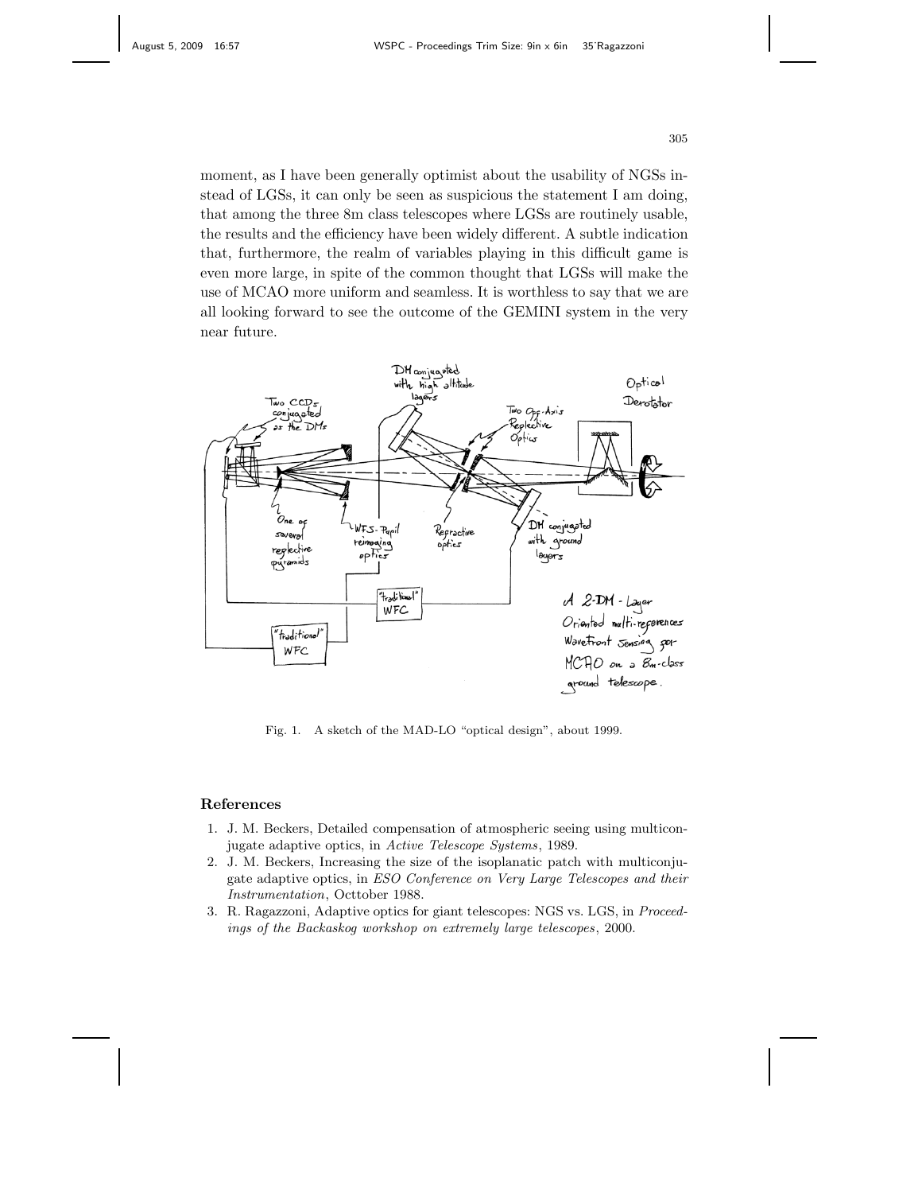moment, as I have been generally optimist about the usability of NGSs instead of LGSs, it can only be seen as suspicious the statement I am doing, that among the three 8m class telescopes where LGSs are routinely usable, the results and the efficiency have been widely different. A subtle indication that, furthermore, the realm of variables playing in this difficult game is even more large, in spite of the common thought that LGSs will make the use of MCAO more uniform and seamless. It is worthless to say that we are all looking forward to see the outcome of the GEMINI system in the very near future.



Fig. 1. A sketch of the MAD-LO "optical design", about 1999.

#### **References**

- 1. J. M. Beckers, Detailed compensation of atmospheric seeing using multiconjugate adaptive optics, in *Active Telescope Systems*, 1989.
- 2. J. M. Beckers, Increasing the size of the isoplanatic patch with multiconjugate adaptive optics, in *ESO Conference on Very Large Telescopes and their Instrumentation*, Octtober 1988.
- 3. R. Ragazzoni, Adaptive optics for giant telescopes: NGS vs. LGS, in *Proceedings of the Backaskog workshop on extremely large telescopes*, 2000.